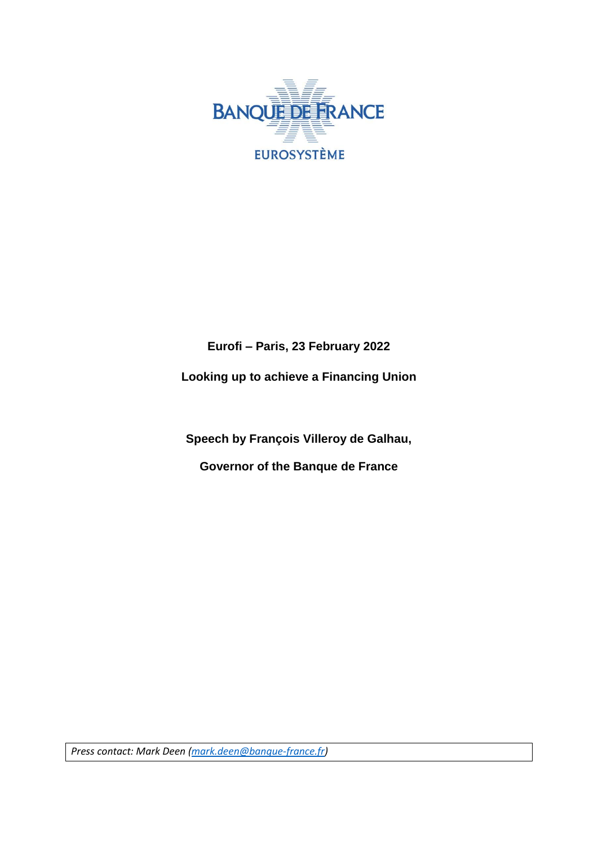

## **Eurofi – Paris, 23 February 2022**

**Looking up to achieve a Financing Union**

**Speech by François Villeroy de Galhau,**

**Governor of the Banque de France**

*Press contact: Mark Deen [\(mark.deen@banque-france.fr\)](mailto:mark.deen@banque-france.fr)*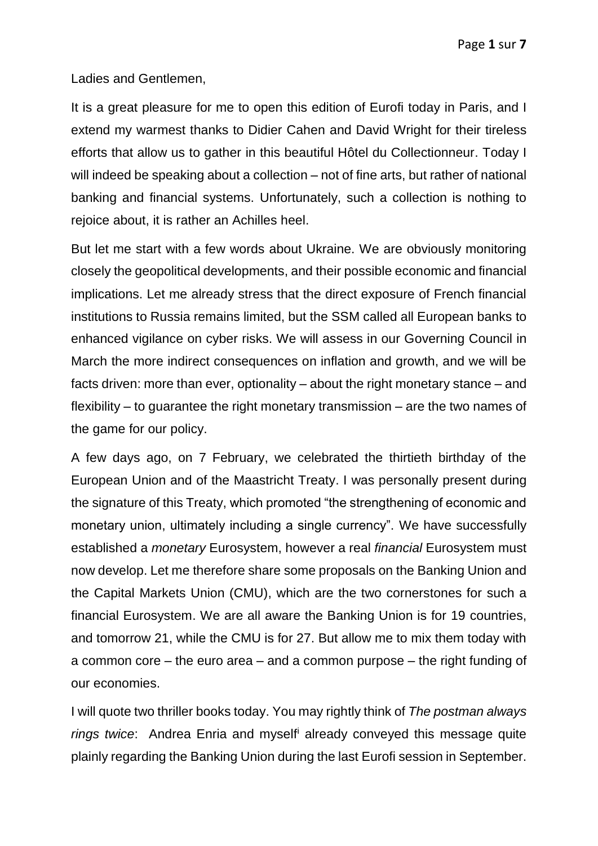Ladies and Gentlemen,

It is a great pleasure for me to open this edition of Eurofi today in Paris, and I extend my warmest thanks to Didier Cahen and David Wright for their tireless efforts that allow us to gather in this beautiful Hôtel du Collectionneur. Today I will indeed be speaking about a collection – not of fine arts, but rather of national banking and financial systems. Unfortunately, such a collection is nothing to rejoice about, it is rather an Achilles heel.

But let me start with a few words about Ukraine. We are obviously monitoring closely the geopolitical developments, and their possible economic and financial implications. Let me already stress that the direct exposure of French financial institutions to Russia remains limited, but the SSM called all European banks to enhanced vigilance on cyber risks. We will assess in our Governing Council in March the more indirect consequences on inflation and growth, and we will be facts driven: more than ever, optionality – about the right monetary stance – and flexibility – to guarantee the right monetary transmission – are the two names of the game for our policy.

A few days ago, on 7 February, we celebrated the thirtieth birthday of the European Union and of the Maastricht Treaty. I was personally present during the signature of this Treaty, which promoted "the strengthening of economic and monetary union, ultimately including a single currency". We have successfully established a *monetary* Eurosystem, however a real *financial* Eurosystem must now develop. Let me therefore share some proposals on the Banking Union and the Capital Markets Union (CMU), which are the two cornerstones for such a financial Eurosystem. We are all aware the Banking Union is for 19 countries, and tomorrow 21, while the CMU is for 27. But allow me to mix them today with a common core – the euro area – and a common purpose – the right funding of our economies.

I will quote two thriller books today. You may rightly think of *The postman always rings twice*: Andrea Enria and myself<sup>i</sup> already conveyed this message quite plainly regarding the Banking Union during the last Eurofi session in September.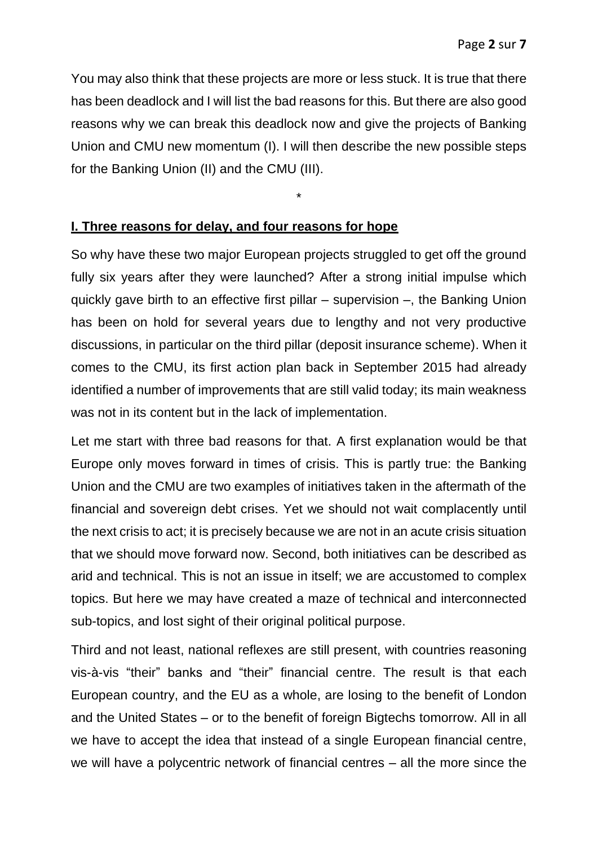You may also think that these projects are more or less stuck. It is true that there has been deadlock and I will list the bad reasons for this. But there are also good reasons why we can break this deadlock now and give the projects of Banking Union and CMU new momentum (I). I will then describe the new possible steps for the Banking Union (II) and the CMU (III).

\*

## **I. Three reasons for delay, and four reasons for hope**

So why have these two major European projects struggled to get off the ground fully six years after they were launched? After a strong initial impulse which quickly gave birth to an effective first pillar – supervision –, the Banking Union has been on hold for several years due to lengthy and not very productive discussions, in particular on the third pillar (deposit insurance scheme). When it comes to the CMU, its first action plan back in September 2015 had already identified a number of improvements that are still valid today; its main weakness was not in its content but in the lack of implementation.

Let me start with three bad reasons for that. A first explanation would be that Europe only moves forward in times of crisis. This is partly true: the Banking Union and the CMU are two examples of initiatives taken in the aftermath of the financial and sovereign debt crises. Yet we should not wait complacently until the next crisis to act; it is precisely because we are not in an acute crisis situation that we should move forward now. Second, both initiatives can be described as arid and technical. This is not an issue in itself; we are accustomed to complex topics. But here we may have created a maze of technical and interconnected sub-topics, and lost sight of their original political purpose.

Third and not least, national reflexes are still present, with countries reasoning vis-à-vis "their" banks and "their" financial centre. The result is that each European country, and the EU as a whole, are losing to the benefit of London and the United States – or to the benefit of foreign Bigtechs tomorrow. All in all we have to accept the idea that instead of a single European financial centre, we will have a polycentric network of financial centres – all the more since the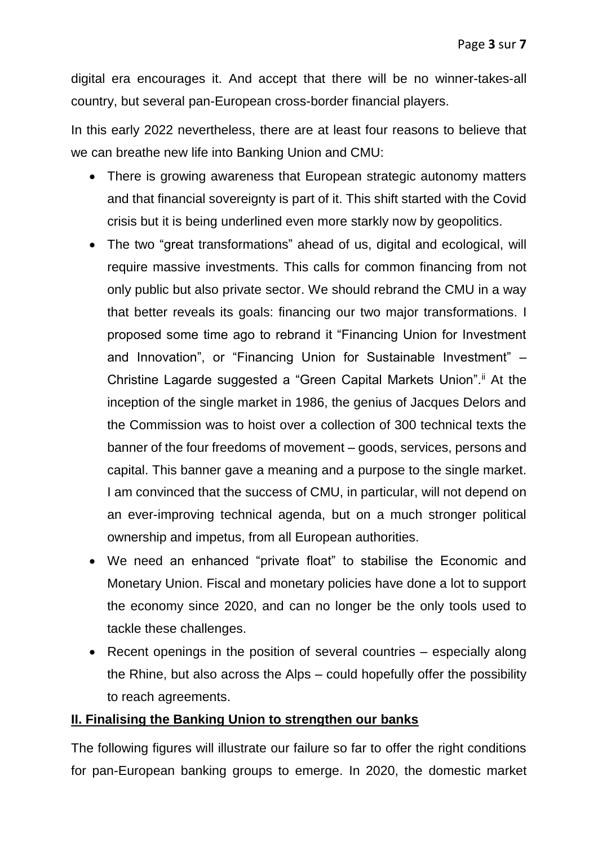digital era encourages it. And accept that there will be no winner-takes-all country, but several pan-European cross-border financial players.

In this early 2022 nevertheless, there are at least four reasons to believe that we can breathe new life into Banking Union and CMU:

- There is growing awareness that European strategic autonomy matters and that financial sovereignty is part of it. This shift started with the Covid crisis but it is being underlined even more starkly now by geopolitics.
- The two "great transformations" ahead of us, digital and ecological, will require massive investments. This calls for common financing from not only public but also private sector. We should rebrand the CMU in a way that better reveals its goals: financing our two major transformations. I proposed some time ago to rebrand it "Financing Union for Investment and Innovation", or "Financing Union for Sustainable Investment" – Christine Lagarde suggested a "Green Capital Markets Union".<sup>ii</sup> At the inception of the single market in 1986, the genius of Jacques Delors and the Commission was to hoist over a collection of 300 technical texts the banner of the four freedoms of movement – goods, services, persons and capital. This banner gave a meaning and a purpose to the single market. I am convinced that the success of CMU, in particular, will not depend on an ever-improving technical agenda, but on a much stronger political ownership and impetus, from all European authorities.
- We need an enhanced "private float" to stabilise the Economic and Monetary Union. Fiscal and monetary policies have done a lot to support the economy since 2020, and can no longer be the only tools used to tackle these challenges.
- Recent openings in the position of several countries especially along the Rhine, but also across the Alps – could hopefully offer the possibility to reach agreements.

## **II. Finalising the Banking Union to strengthen our banks**

The following figures will illustrate our failure so far to offer the right conditions for pan-European banking groups to emerge. In 2020, the domestic market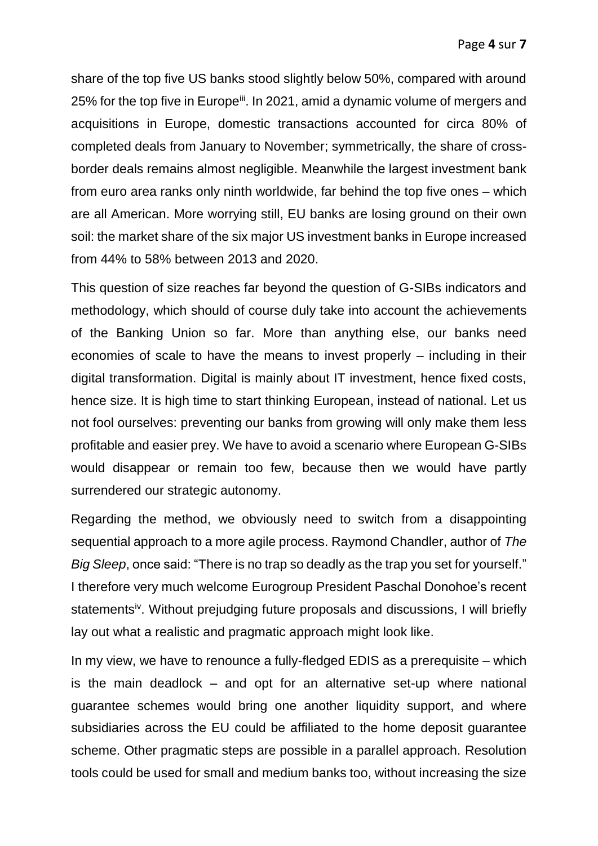share of the top five US banks stood slightly below 50%, compared with around 25% for the top five in Europe<sup>iii</sup>. In 2021, amid a dynamic volume of mergers and acquisitions in Europe, domestic transactions accounted for circa 80% of completed deals from January to November; symmetrically, the share of crossborder deals remains almost negligible. Meanwhile the largest investment bank from euro area ranks only ninth worldwide, far behind the top five ones – which are all American. More worrying still, EU banks are losing ground on their own soil: the market share of the six major US investment banks in Europe increased from 44% to 58% between 2013 and 2020.

This question of size reaches far beyond the question of G-SIBs indicators and methodology, which should of course duly take into account the achievements of the Banking Union so far. More than anything else, our banks need economies of scale to have the means to invest properly – including in their digital transformation. Digital is mainly about IT investment, hence fixed costs, hence size. It is high time to start thinking European, instead of national. Let us not fool ourselves: preventing our banks from growing will only make them less profitable and easier prey. We have to avoid a scenario where European G-SIBs would disappear or remain too few, because then we would have partly surrendered our strategic autonomy.

Regarding the method, we obviously need to switch from a disappointing sequential approach to a more agile process. Raymond Chandler, author of *The Big Sleep*, once said: "There is no trap so deadly as the trap you set for yourself." I therefore very much welcome Eurogroup President Paschal Donohoe's recent statements<sup>iv</sup>. Without prejudging future proposals and discussions, I will briefly lay out what a realistic and pragmatic approach might look like.

In my view, we have to renounce a fully-fledged EDIS as a prerequisite – which is the main deadlock – and opt for an alternative set-up where national guarantee schemes would bring one another liquidity support, and where subsidiaries across the EU could be affiliated to the home deposit guarantee scheme. Other pragmatic steps are possible in a parallel approach. Resolution tools could be used for small and medium banks too, without increasing the size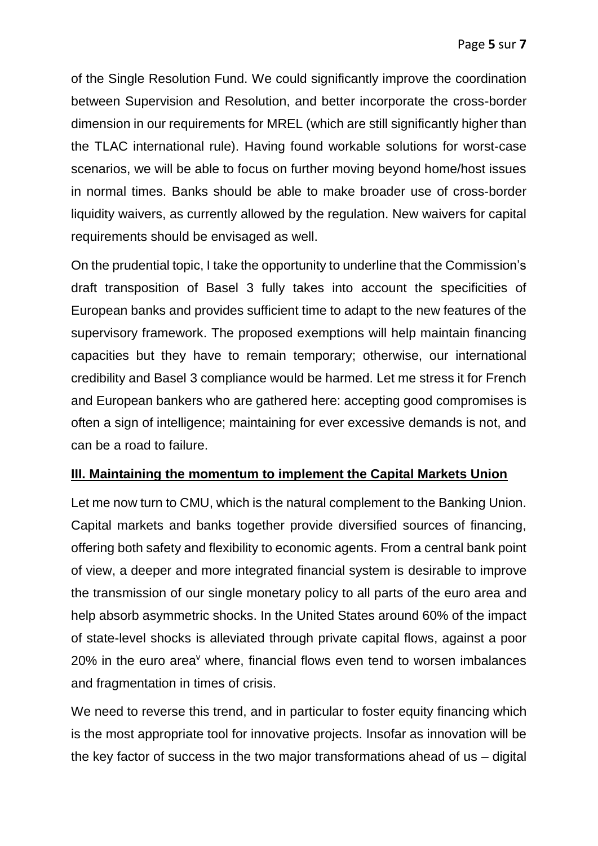of the Single Resolution Fund. We could significantly improve the coordination between Supervision and Resolution, and better incorporate the cross-border dimension in our requirements for MREL (which are still significantly higher than the TLAC international rule). Having found workable solutions for worst-case scenarios, we will be able to focus on further moving beyond home/host issues in normal times. Banks should be able to make broader use of cross-border liquidity waivers, as currently allowed by the regulation. New waivers for capital requirements should be envisaged as well.

On the prudential topic, I take the opportunity to underline that the Commission's draft transposition of Basel 3 fully takes into account the specificities of European banks and provides sufficient time to adapt to the new features of the supervisory framework. The proposed exemptions will help maintain financing capacities but they have to remain temporary; otherwise, our international credibility and Basel 3 compliance would be harmed. Let me stress it for French and European bankers who are gathered here: accepting good compromises is often a sign of intelligence; maintaining for ever excessive demands is not, and can be a road to failure.

## **III. Maintaining the momentum to implement the Capital Markets Union**

Let me now turn to CMU, which is the natural complement to the Banking Union. Capital markets and banks together provide diversified sources of financing, offering both safety and flexibility to economic agents. From a central bank point of view, a deeper and more integrated financial system is desirable to improve the transmission of our single monetary policy to all parts of the euro area and help absorb asymmetric shocks. In the United States around 60% of the impact of state-level shocks is alleviated through private capital flows, against a poor  $20\%$  in the euro area<sup>v</sup> where, financial flows even tend to worsen imbalances and fragmentation in times of crisis.

We need to reverse this trend, and in particular to foster equity financing which is the most appropriate tool for innovative projects. Insofar as innovation will be the key factor of success in the two major transformations ahead of us – digital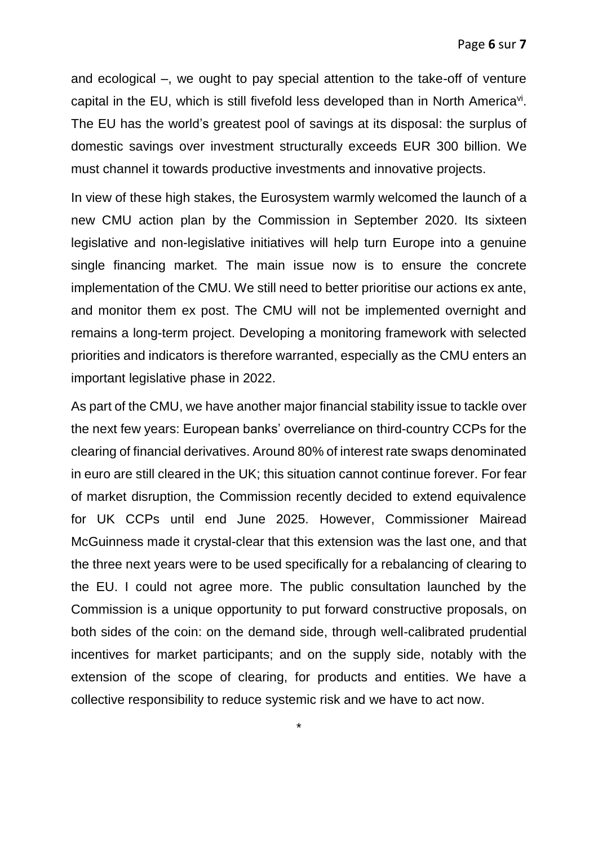and ecological –, we ought to pay special attention to the take-off of venture capital in the EU, which is still fivefold less developed than in North America<sup>vi</sup>. The EU has the world's greatest pool of savings at its disposal: the surplus of domestic savings over investment structurally exceeds EUR 300 billion. We must channel it towards productive investments and innovative projects.

In view of these high stakes, the Eurosystem warmly welcomed the launch of a new CMU action plan by the Commission in September 2020. Its sixteen legislative and non-legislative initiatives will help turn Europe into a genuine single financing market. The main issue now is to ensure the concrete implementation of the CMU. We still need to better prioritise our actions ex ante, and monitor them ex post. The CMU will not be implemented overnight and remains a long-term project. Developing a monitoring framework with selected priorities and indicators is therefore warranted, especially as the CMU enters an important legislative phase in 2022.

As part of the CMU, we have another major financial stability issue to tackle over the next few years: European banks' overreliance on third-country CCPs for the clearing of financial derivatives. Around 80% of interest rate swaps denominated in euro are still cleared in the UK; this situation cannot continue forever. For fear of market disruption, the Commission recently decided to extend equivalence for UK CCPs until end June 2025. However, Commissioner Mairead McGuinness made it crystal-clear that this extension was the last one, and that the three next years were to be used specifically for a rebalancing of clearing to the EU. I could not agree more. The public consultation launched by the Commission is a unique opportunity to put forward constructive proposals, on both sides of the coin: on the demand side, through well-calibrated prudential incentives for market participants; and on the supply side, notably with the extension of the scope of clearing, for products and entities. We have a collective responsibility to reduce systemic risk and we have to act now.

\*